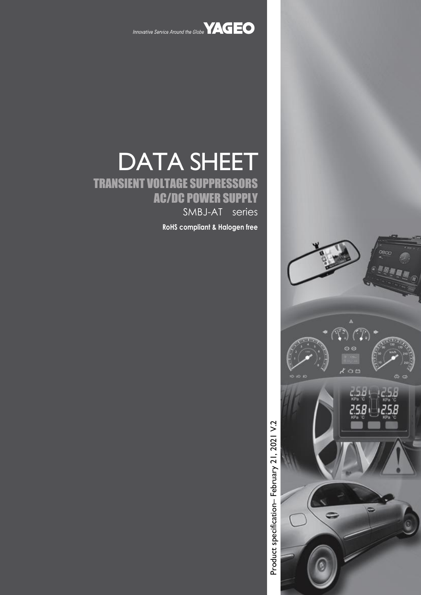

Innovative Service Around the Globe **YAGEO** 

# DATA SHEET TRANSIENT VOLTAGE SUPPRESSORS AC/DC POWER SUPPLY SMBJ-AT series

**RoHS compliant & Halogen free**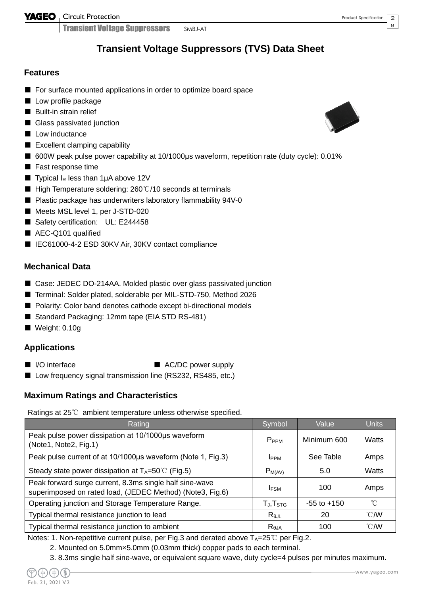YAGEO Gircuit Protection

Transient Voltage Suppressors SMBJ-AT

### **Transient Voltage Suppressors (TVS) Data Sheet**

#### **Features**

- For surface mounted applications in order to optimize board space
- Low profile package
- Built-in strain relief
- Glass passivated junction
- Low inductance
- Excellent clamping capability
- 600W peak pulse power capability at 10/1000µs waveform, repetition rate (duty cycle): 0.01%
- Fast response time
- **Typical I<sub>R</sub>** less than 1µA above 12V
- High Temperature soldering: 260°C/10 seconds at terminals
- Plastic package has underwriters laboratory flammability 94V-0
- Meets MSL level 1, per J-STD-020
- Safety certification: UL: E244458
- AEC-Q101 qualified
- IEC61000-4-2 ESD 30KV Air, 30KV contact compliance

#### **Mechanical Data**

- Case: JEDEC DO-214AA. Molded plastic over glass passivated junction
- Terminal: Solder plated, solderable per MIL-STD-750, Method 2026
- Polarity: Color band denotes cathode except bi-directional models
- Standard Packaging: 12mm tape (EIA STD RS-481)
- Weight: 0.10g

#### **Applications**

- 
- I/O interface AC/DC power supply
- Low frequency signal transmission line (RS232, RS485, etc.)

#### **Maximum Ratings and Characteristics**

Ratings at 25℃ ambient temperature unless otherwise specified.

| Rating                                                                                                               | Symbol              | Value           | <b>Units</b>   |
|----------------------------------------------------------------------------------------------------------------------|---------------------|-----------------|----------------|
| Peak pulse power dissipation at 10/1000µs waveform<br>(Note1, Note2, Fig.1)                                          | P <sub>PPM</sub>    | Minimum 600     | Watts          |
| Peak pulse current of at 10/1000µs waveform (Note 1, Fig.3)                                                          | <b>IPPM</b>         | See Table       | Amps           |
| Steady state power dissipation at $T_A = 50^{\circ}$ (Fig.5)                                                         | $P_{M(AV)}$         | 5.0             | Watts          |
| Peak forward surge current, 8.3ms single half sine-wave<br>superimposed on rated load, (JEDEC Method) (Note3, Fig.6) | <b>IFSM</b>         | 100             | Amps           |
| Operating junction and Storage Temperature Range.                                                                    | $T_{J}$ , $T_{STG}$ | $-55$ to $+150$ | $^{\circ}C$    |
| Typical thermal resistance junction to lead                                                                          | $R_{\theta$ JL      | 20              | $^{\circ}$ CMV |
| Typical thermal resistance junction to ambient                                                                       | $R_{\theta$ JA      | 100             | $^{\circ}$ CMV |

Notes: 1. Non-repetitive current pulse, per Fig.3 and derated above  $T_A=25^{\circ}C$  per Fig.2.

- 2. Mounted on 5.0mm×5.0mm (0.03mm thick) copper pads to each terminal.
- 3. 8.3ms single half sine-wave, or equivalent square wave, duty cycle=4 pulses per minutes maximum.



2 8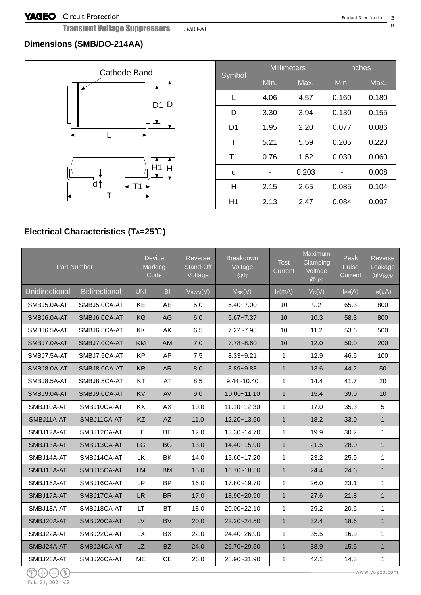Transient Voltage Suppressors SMBJ-AT

#### 3  $\overline{8}$

### **Dimensions (SMB/DO-214AA)**

| <b>Cathode Band</b><br>D<br>D <sub>1</sub> | S <sub>y</sub> |
|--------------------------------------------|----------------|
| d<br>$T1 \rightarrow$                      |                |

|                |      | <b>Millimeters</b> | <b>Inches</b> |       |  |  |
|----------------|------|--------------------|---------------|-------|--|--|
| Symbol         | Min. | Max.               | Min.          | Max.  |  |  |
| L              | 4.06 | 4.57               | 0.160         | 0.180 |  |  |
| D              | 3.30 | 3.94               | 0.130         | 0.155 |  |  |
| D <sub>1</sub> | 1.95 | 2.20               | 0.077         | 0.086 |  |  |
| т              | 5.21 | 5.59               | 0.205         | 0.220 |  |  |
| T <sub>1</sub> | 0.76 | 1.52               | 0.030         | 0.060 |  |  |
| d              |      | 0.203              |               | 0.008 |  |  |
| H              | 2.15 | 2.65               | 0.085         | 0.104 |  |  |
| H1             | 2.13 | 2.47               | 0.084         | 0.097 |  |  |

## **Electrical Characteristics (TA=25**℃**)**

|                | <b>Part Number</b>   |            | <b>Device</b><br>Marking<br>Code | Reverse<br>Stand-Off<br>Voltage | <b>Breakdown</b><br>Voltage<br>$@I_{T}$ | <b>Test</b><br>Current | Maximum<br>Clamping<br>Voltage<br>@ | Peak<br>Pulse<br>Current | Reverse<br>Leakage<br>@V <sub>RWM</sub> |
|----------------|----------------------|------------|----------------------------------|---------------------------------|-----------------------------------------|------------------------|-------------------------------------|--------------------------|-----------------------------------------|
| Unidirectional | <b>Bidirectional</b> | <b>UNI</b> | B <sub>l</sub>                   | $V_{RWM}(V)$                    | $V_{BR}(V)$                             | $I_T(mA)$              | Vc(V)                               | IPP(A)                   | $I_R(\mu A)$                            |
| SMBJ5.0A-AT    | SMBJ5.0CA-AT         | <b>KE</b>  | AE                               | 5.0                             | $6.40 - 7.00$                           | 10                     | 9.2                                 | 65.3                     | 800                                     |
| SMBJ6.0A-AT    | SMBJ6.0CA-AT         | KG         | AG                               | 6.0                             | $6.67 - 7.37$                           | 10                     | 10.3                                | 58.3                     | 800                                     |
| SMBJ6.5A-AT    | SMBJ6.5CA-AT         | KK         | AK                               | 6.5                             | $7.22 - 7.98$                           | 10                     | 11.2                                | 53.6                     | 500                                     |
| SMBJ7.0A-AT    | SMBJ7.0CA-AT         | <b>KM</b>  | AM                               | 7.0                             | $7.78 - 8.60$                           | 10                     | 12.0                                | 50.0                     | 200                                     |
| SMBJ7.5A-AT    | SMBJ7.5CA-AT         | KP         | AP                               | 7.5                             | $8.33 - 9.21$                           | $\mathbf{1}$           | 12.9                                | 46.6                     | 100                                     |
| SMBJ8.0A-AT    | SMBJ8.0CA-AT         | <b>KR</b>  | <b>AR</b>                        | 8.0                             | $8.89 - 9.83$                           | $\mathbf{1}$           | 13.6                                | 44.2                     | 50                                      |
| SMBJ8.5A-AT    | SMBJ8.5CA-AT         | KT         | AT                               | 8.5                             | $9.44 - 10.40$                          | 1                      | 14.4                                | 41.7                     | 20                                      |
| SMBJ9.0A-AT    | SMBJ9.0CA-AT         | <b>KV</b>  | AV                               | 9.0                             | $10.00 - 11.10$                         | $\mathbf{1}$           | 15.4                                | 39.0                     | 10                                      |
| SMBJ10A-AT     | SMBJ10CA-AT          | <b>KX</b>  | AX                               | 10.0                            | $11.10 - 12.30$                         | $\mathbf{1}$           | 17.0                                | 35.3                     | 5                                       |
| SMBJ11A-AT     | SMBJ11CA-AT          | KZ         | <b>AZ</b>                        | 11.0                            | $12.20 - 13.50$                         | $\mathbf{1}$           | 18.2                                | 33.0                     | $\mathbf{1}$                            |
| SMBJ12A-AT     | SMBJ12CA-AT          | LE         | BE                               | 12.0                            | 13.30~14.70                             | $\mathbf{1}$           | 19.9                                | 30.2                     | $\mathbf{1}$                            |
| SMBJ13A-AT     | SMBJ13CA-AT          | LG         | <b>BG</b>                        | 13.0                            | 14.40~15.90                             | $\mathbf{1}$           | 21.5                                | 28.0                     | $\mathbf{1}$                            |
| SMBJ14A-AT     | SMBJ14CA-AT          | LK         | BK                               | 14.0                            | 15.60~17.20                             | $\mathbf{1}$           | 23.2                                | 25.9                     | $\mathbf{1}$                            |
| SMBJ15A-AT     | SMBJ15CA-AT          | <b>LM</b>  | <b>BM</b>                        | 15.0                            | 16.70~18.50                             | $\mathbf{1}$           | 24.4                                | 24.6                     | $\mathbf{1}$                            |
| SMBJ16A-AT     | SMBJ16CA-AT          | <b>LP</b>  | <b>BP</b>                        | 16.0                            | 17.80~19.70                             | $\mathbf{1}$           | 26.0                                | 23.1                     | 1                                       |
| SMBJ17A-AT     | SMBJ17CA-AT          | LR         | <b>BR</b>                        | 17.0                            | 18.90~20.90                             | $\mathbf{1}$           | 27.6                                | 21.8                     | $\mathbf{1}$                            |
| SMBJ18A-AT     | SMBJ18CA-AT          | LT         | BT                               | 18.0                            | 20.00~22.10                             | $\mathbf{1}$           | 29.2                                | 20.6                     | $\mathbf{1}$                            |
| SMBJ20A-AT     | SMBJ20CA-AT          | LV         | <b>BV</b>                        | 20.0                            | 22.20~24.50                             | $\mathbf{1}$           | 32.4                                | 18.6                     | $\mathbf{1}$                            |
| SMBJ22A-AT     | SMBJ22CA-AT          | <b>LX</b>  | <b>BX</b>                        | 22.0                            | 24.40~26.90                             | $\mathbf{1}$           | 35.5                                | 16.9                     | $\mathbf{1}$                            |
| SMBJ24A-AT     | SMBJ24CA-AT          | <b>LZ</b>  | <b>BZ</b>                        | 24.0                            | 26.70~29.50                             | $\mathbf{1}$           | 38.9                                | 15.5                     | $\mathbf{1}$                            |
| SMBJ26A-AT     | SMBJ26CA-AT          | ME         | <b>CE</b>                        | 26.0                            | 28.90~31.90                             | $\mathbf{1}$           | 42.1                                | 14.3                     | 1                                       |

Feb. 21, 2021 V.2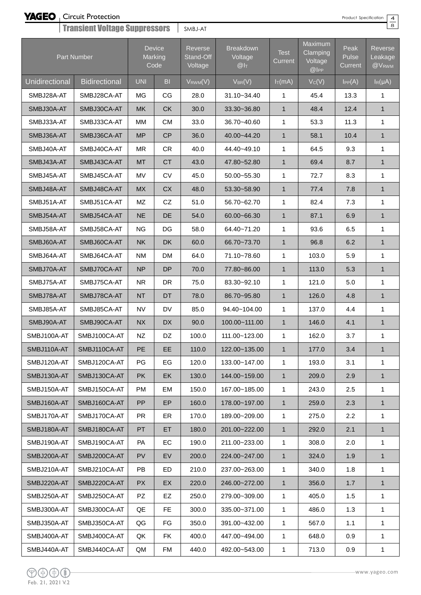Circuit Protection

| Product Spe |  |
|-------------|--|
|             |  |

| ecification |  |
|-------------|--|
|             |  |

| <b>Transient Voltage Suppressors</b> |                      |            |                                  | SMBJ-AT                         |                                                |                                   |                                     |                                 | 8                                       |
|--------------------------------------|----------------------|------------|----------------------------------|---------------------------------|------------------------------------------------|-----------------------------------|-------------------------------------|---------------------------------|-----------------------------------------|
|                                      | Part Number          |            | <b>Device</b><br>Marking<br>Code | Reverse<br>Stand-Off<br>Voltage | <b>Breakdown</b><br>Voltage<br>@I <sub>T</sub> | <b>Test</b><br>Current            | Maximum<br>Clamping<br>Voltage<br>@ | Peak<br>Pulse<br><b>Current</b> | Reverse<br>Leakage<br>@V <sub>RWM</sub> |
| Unidirectional                       | <b>Bidirectional</b> | <b>UNI</b> | B <sub>1</sub>                   | $V_{RWM}(V)$                    | $V_{BR}(V)$                                    | $I_{\overline{T}}(\overline{mA})$ | $V_C(V)$                            | $I_{PP}(A)$                     | $I_R(\mu A)$                            |
| SMBJ28A-AT                           | SMBJ28CA-AT          | MG         | CG                               | 28.0                            | 31.10~34.40                                    | $\mathbf{1}$                      | 45.4                                | 13.3                            | 1                                       |
| SMBJ30A-AT                           | SMBJ30CA-AT          | <b>MK</b>  | <b>CK</b>                        | 30.0                            | 33.30~36.80                                    | $\mathbf{1}$                      | 48.4                                | 12.4                            | $\mathbf{1}$                            |
| SMBJ33A-AT                           | SMBJ33CA-AT          | <b>MM</b>  | <b>CM</b>                        | 33.0                            | 36.70~40.60                                    | 1                                 | 53.3                                | 11.3                            | 1                                       |
| SMBJ36A-AT                           | SMBJ36CA-AT          | <b>MP</b>  | CP                               | 36.0                            | 40.00~44.20                                    | $\mathbf{1}$                      | 58.1                                | 10.4                            | $\mathbf{1}$                            |
| SMBJ40A-AT                           | SMBJ40CA-AT          | <b>MR</b>  | <b>CR</b>                        | 40.0                            | 44.40~49.10                                    | 1                                 | 64.5                                | 9.3                             | 1                                       |
| SMBJ43A-AT                           | SMBJ43CA-AT          | <b>MT</b>  | <b>CT</b>                        | 43.0                            | 47.80~52.80                                    | $\mathbf{1}$                      | 69.4                                | 8.7                             | $\mathbf{1}$                            |
| SMBJ45A-AT                           | SMBJ45CA-AT          | MV         | CV                               | 45.0                            | 50.00~55.30                                    | 1                                 | 72.7                                | 8.3                             | 1                                       |
| SMBJ48A-AT                           | SMBJ48CA-AT          | <b>MX</b>  | <b>CX</b>                        | 48.0                            | 53.30~58.90                                    | $\mathbf{1}$                      | 77.4                                | 7.8                             | $\mathbf{1}$                            |
| SMBJ51A-AT                           | SMBJ51CA-AT          | MZ         | CZ                               | 51.0                            | 56.70~62.70                                    | $\mathbf{1}$                      | 82.4                                | 7.3                             | $\mathbf{1}$                            |
| SMBJ54A-AT                           | SMBJ54CA-AT          | <b>NE</b>  | DE                               | 54.0                            | 60.00~66.30                                    | $\mathbf{1}$                      | 87.1                                | 6.9                             | $\mathbf{1}$                            |
| SMBJ58A-AT                           | SMBJ58CA-AT          | <b>NG</b>  | DG                               | 58.0                            | 64.40~71.20                                    | $\mathbf{1}$                      | 93.6                                | 6.5                             | $\mathbf{1}$                            |
| SMBJ60A-AT                           | SMBJ60CA-AT          | <b>NK</b>  | DK                               | 60.0                            | 66.70~73.70                                    | $\mathbf{1}$                      | 96.8                                | 6.2                             | $\mathbf{1}$                            |
| SMBJ64A-AT                           | SMBJ64CA-AT          | <b>NM</b>  | <b>DM</b>                        | 64.0                            | 71.10~78.60                                    | 1                                 | 103.0                               | 5.9                             | 1                                       |
| SMBJ70A-AT                           | SMBJ70CA-AT          | <b>NP</b>  | <b>DP</b>                        | 70.0                            | 77.80~86.00                                    | $\mathbf{1}$                      | 113.0                               | 5.3                             | $\mathbf{1}$                            |
| SMBJ75A-AT                           | SMBJ75CA-AT          | <b>NR</b>  | DR                               | 75.0                            | 83.30~92.10                                    | $\mathbf{1}$                      | 121.0                               | 5.0                             | 1                                       |
| SMBJ78A-AT                           | SMBJ78CA-AT          | <b>NT</b>  | DT                               | 78.0                            | 86.70~95.80                                    | $\mathbf{1}$                      | 126.0                               | 4.8                             | $\mathbf{1}$                            |
| SMBJ85A-AT                           | SMBJ85CA-AT          | <b>NV</b>  | DV                               | 85.0                            | 94.40~104.00                                   | 1                                 | 137.0                               | 4.4                             | 1                                       |
| SMBJ90A-AT                           | SMBJ90CA-AT          | <b>NX</b>  | <b>DX</b>                        | 90.0                            | 100.00~111.00                                  | $\mathbf{1}$                      | 146.0                               | 4.1                             | $\mathbf{1}$                            |
| SMBJ100A-AT                          | SMBJ100CA-AT         | NZ         | DZ                               | 100.0                           | 111.00~123.00                                  | $\mathbf{1}$                      | 162.0                               | 3.7                             | 1                                       |
| SMBJ110A-AT                          | SMBJ110CA-AT         | PE         | EE                               | 110.0                           | 122.00~135.00                                  | $\mathbf{1}$                      | 177.0                               | 3.4                             | $\mathbf{1}$                            |
| SMBJ120A-AT                          | SMBJ120CA-AT         | PG         | EG                               | 120.0                           | 133.00~147.00                                  | $\mathbf{1}$                      | 193.0                               | 3.1                             | 1                                       |
| SMBJ130A-AT                          | SMBJ130CA-AT         | <b>PK</b>  | EK                               | 130.0                           | 144.00~159.00                                  | $\mathbf{1}$                      | 209.0                               | 2.9                             | $\mathbf{1}$                            |
| SMBJ150A-AT                          | SMBJ150CA-AT         | PM         | EM                               | 150.0                           | 167.00~185.00                                  | 1                                 | 243.0                               | 2.5                             | 1                                       |
| SMBJ160A-AT                          | SMBJ160CA-AT         | PP         | EP                               | 160.0                           | 178.00~197.00                                  | $\mathbf{1}$                      | 259.0                               | 2.3                             | $\mathbf{1}$                            |
| SMBJ170A-AT                          | SMBJ170CA-AT         | PR         | ER                               | 170.0                           | 189.00~209.00                                  | 1                                 | 275.0                               | 2.2                             | 1                                       |
| SMBJ180A-AT                          | SMBJ180CA-AT         | PT.        | ET                               | 180.0                           | 201.00~222.00                                  | $\mathbf{1}$                      | 292.0                               | 2.1                             | $\mathbf{1}$                            |
| SMBJ190A-AT                          | SMBJ190CA-AT         | PA         | EC                               | 190.0                           | 211.00~233.00                                  | 1                                 | 308.0                               | 2.0                             | 1                                       |
| SMBJ200A-AT                          | SMBJ200CA-AT         | <b>PV</b>  | EV                               | 200.0                           | 224.00~247.00                                  | $\mathbf{1}$                      | 324.0                               | 1.9                             | $\mathbf{1}$                            |
| SMBJ210A-AT                          | SMBJ210CA-AT         | PB.        | ED                               | 210.0                           | 237.00~263.00                                  | 1                                 | 340.0                               | 1.8                             | $\mathbf{1}$                            |
| SMBJ220A-AT                          | SMBJ220CA-AT         | <b>PX</b>  | EX                               | 220.0                           | 246.00~272.00                                  | $\mathbf{1}$                      | 356.0                               | 1.7                             | 1                                       |
| SMBJ250A-AT                          | SMBJ250CA-AT         | PZ         | EZ                               | 250.0                           | 279.00~309.00                                  | 1                                 | 405.0                               | 1.5                             | 1                                       |
| SMBJ300A-AT                          | SMBJ300CA-AT         | QE         | FE                               | 300.0                           | 335.00~371.00                                  | 1                                 | 486.0                               | 1.3                             | 1                                       |
| SMBJ350A-AT                          | SMBJ350CA-AT         | QG         | FG                               | 350.0                           | 391.00~432.00                                  | 1                                 | 567.0                               | 1.1                             | 1                                       |
| SMBJ400A-AT                          | SMBJ400CA-AT         | QK         | FK                               | 400.0                           | 447.00~494.00                                  | $\mathbf{1}$                      | 648.0                               | 0.9                             | $\mathbf{1}$                            |
| SMBJ440A-AT                          | SMBJ440CA-AT         | QM         | FM                               | 440.0                           | 492.00~543.00                                  | $\mathbf{1}$                      | 713.0                               | 0.9                             | 1                                       |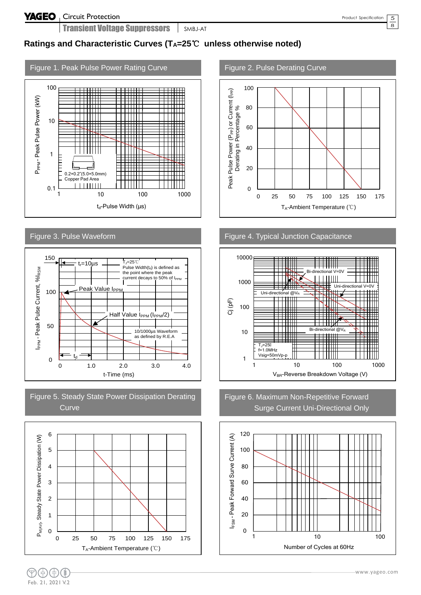5  $\overline{8}$ 

### **Ratings and Characteristic Curves (TA=25**℃ **unless otherwise noted)**





#### Figure 5. Steady State Power Dissipation Derating **Curve**



#### Figure 2. Pulse Derating Curve



#### Figure 4. Typical Junction Capacitance



#### Figure 6. Maximum Non-Repetitive Forward Surge Current Uni-Directional Only

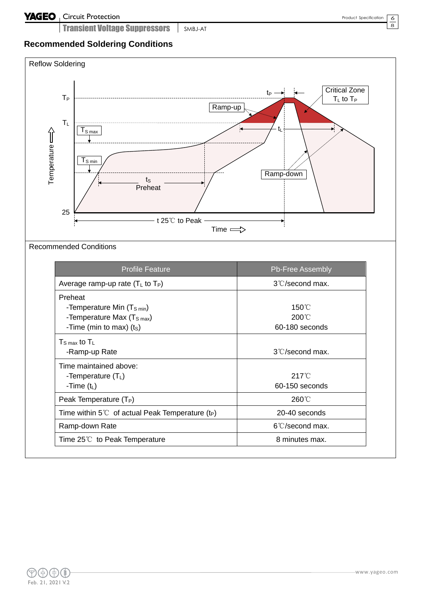Transient Voltage Suppressors | SMBJ-AT

#### 6  $\overline{8}$

### **Recommended Soldering Conditions**

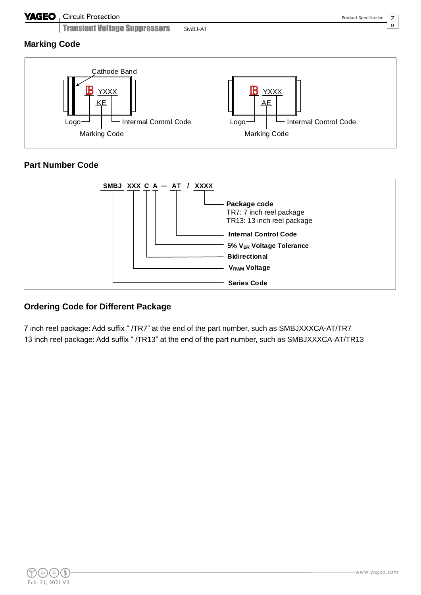#### **YAGEO** Circuit Protection

Transient Voltage Suppressors | SMBJ-AT

7 8

**Marking Code**



### **Part Number Code**



### **Ordering Code for Different Package**

7 inch reel package: Add suffix " /TR7" at the end of the part number, such as SMBJXXXCA-AT/TR7 13 inch reel package: Add suffix " /TR13" at the end of the part number, such as SMBJXXXCA-AT/TR13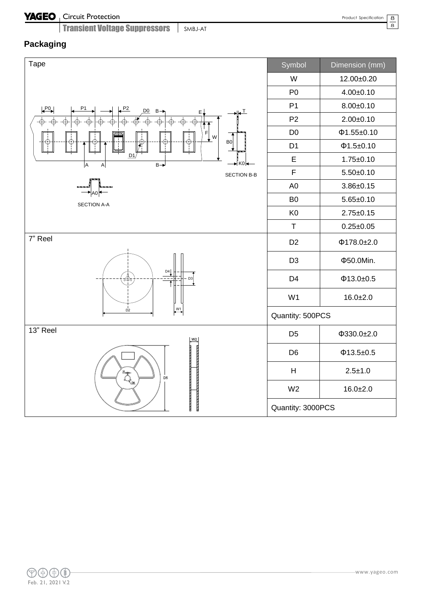#### Circuit Protection

Transient Voltage Suppressors SMBJ-AT

8  $\overline{8}$ 

### **Packaging**

| Tape                                                                                                                                                                                                                                                                                                                                                          | Symbol                    | Dimension (mm)   |  |  |
|---------------------------------------------------------------------------------------------------------------------------------------------------------------------------------------------------------------------------------------------------------------------------------------------------------------------------------------------------------------|---------------------------|------------------|--|--|
|                                                                                                                                                                                                                                                                                                                                                               | W                         | 12.00±0.20       |  |  |
|                                                                                                                                                                                                                                                                                                                                                               | P <sub>0</sub>            | $4.00 \pm 0.10$  |  |  |
| P <sub>0</sub><br>D <sub>0</sub><br>$B \rightarrow$<br><u>T</u><br>Ε,                                                                                                                                                                                                                                                                                         | P <sub>1</sub>            | $8.00 \pm 0.10$  |  |  |
|                                                                                                                                                                                                                                                                                                                                                               | P <sub>2</sub>            | $2.00 \pm 0.10$  |  |  |
| F<br>$\frac{1}{2}$ W                                                                                                                                                                                                                                                                                                                                          | D <sub>0</sub>            | $\Phi$ 1.55±0.10 |  |  |
| B <sub>0</sub><br>F                                                                                                                                                                                                                                                                                                                                           | D <sub>1</sub>            | Φ1.5±0.10        |  |  |
| $\underline{\mathsf{D1}}^{\mathsf{b}}$<br>A<br>$B \rightarrow$<br>K0<br>A                                                                                                                                                                                                                                                                                     | E                         | $1.75 \pm 0.10$  |  |  |
| SECTION B-B                                                                                                                                                                                                                                                                                                                                                   | $\mathsf F$               | $5.50 + 0.10$    |  |  |
|                                                                                                                                                                                                                                                                                                                                                               | A <sub>0</sub>            | $3.86 \pm 0.15$  |  |  |
| <b>SECTION A-A</b>                                                                                                                                                                                                                                                                                                                                            | B <sub>0</sub>            | $5.65 \pm 0.10$  |  |  |
|                                                                                                                                                                                                                                                                                                                                                               | K <sub>0</sub>            | $2.75 \pm 0.15$  |  |  |
|                                                                                                                                                                                                                                                                                                                                                               | $\top$                    | $0.25 \pm 0.05$  |  |  |
| 7" Reel                                                                                                                                                                                                                                                                                                                                                       | D <sub>2</sub>            | $\Phi$ 178.0±2.0 |  |  |
|                                                                                                                                                                                                                                                                                                                                                               | D <sub>3</sub>            | Φ50.0Min.        |  |  |
| D4<br>D <sub>3</sub><br>₩                                                                                                                                                                                                                                                                                                                                     | D <sub>4</sub>            | $\Phi$ 13.0±0.5  |  |  |
|                                                                                                                                                                                                                                                                                                                                                               | W <sub>1</sub>            | $16.0 + 2.0$     |  |  |
| $\overset{W1}{\longleftrightarrow}$<br>$D^{\dagger}$                                                                                                                                                                                                                                                                                                          | Quantity: 500PCS          |                  |  |  |
| 13" Reel<br>W2                                                                                                                                                                                                                                                                                                                                                | D <sub>5</sub>            | $\Phi$ 330.0±2.0 |  |  |
|                                                                                                                                                                                                                                                                                                                                                               | D <sub>6</sub>            | $\Phi$ 13.5±0.5  |  |  |
| $\begin{picture}(120,110) \put(0,0){\line(1,0){155}} \put(15,0){\line(1,0){155}} \put(15,0){\line(1,0){155}} \put(15,0){\line(1,0){155}} \put(15,0){\line(1,0){155}} \put(15,0){\line(1,0){155}} \put(15,0){\line(1,0){155}} \put(15,0){\line(1,0){155}} \put(15,0){\line(1,0){155}} \put(15,0){\line(1,0){155}} \put(15,0){\line(1,0){155$<br>D <sub>5</sub> | $\boldsymbol{\mathsf{H}}$ | $2.5 + 1.0$      |  |  |
|                                                                                                                                                                                                                                                                                                                                                               | W <sub>2</sub>            | $16.0 + 2.0$     |  |  |
|                                                                                                                                                                                                                                                                                                                                                               | Quantity: 3000PCS         |                  |  |  |